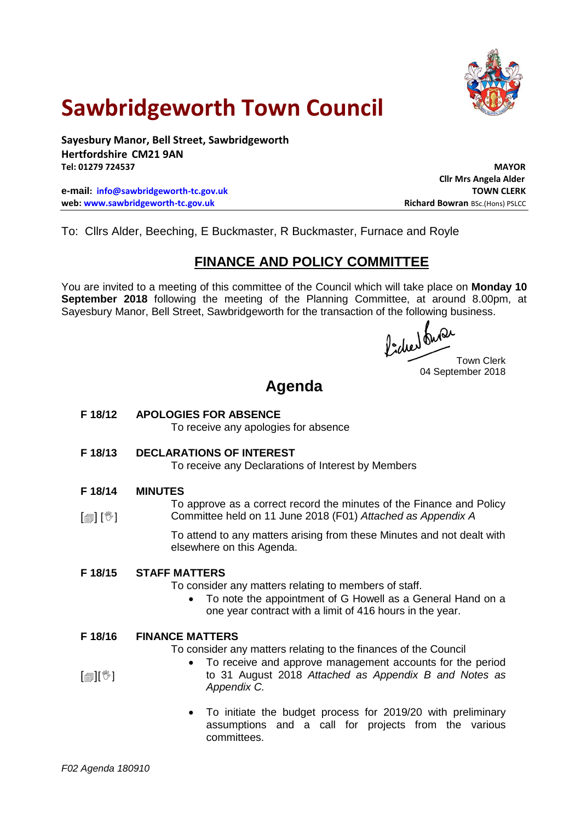

# **Sawbridgeworth Town Council**

**Sayesbury Manor, Bell Street, Sawbridgeworth Hertfordshire CM21 9AN Tel: 01279 724537 MAYOR**

**e-mail: [info@sawbridgeworth-tc.gov.uk](mailto:info@sawbridgeworth-tc.gov.uk) web:** www.sawbridgeworth-tc.gov.uk **Richard Bowran** BSc.(Hons) PSLCC

**Cllr Mrs Angela Alder**

To: Cllrs Alder, Beeching, E Buckmaster, R Buckmaster, Furnace and Royle

## **FINANCE AND POLICY COMMITTEE**

You are invited to a meeting of this committee of the Council which will take place on **Monday 10 September 2018** following the meeting of the Planning Committee, at around 8.00pm, at Sayesbury Manor, Bell Street, Sawbridgeworth for the transaction of the following business.

fided busi

Town Clerk 04 September 2018

# **Agenda**

## **F 18/12 APOLOGIES FOR ABSENCE**

To receive any apologies for absence

**F 18/13 DECLARATIONS OF INTEREST**

To receive any Declarations of Interest by Members

#### **F 18/14 MINUTES**

 $[\circledcirc]$   $[\mathbb{C}]$ 

To approve as a correct record the minutes of the Finance and Policy Committee held on 11 June 2018 (F01) *Attached as Appendix A*

To attend to any matters arising from these Minutes and not dealt with elsewhere on this Agenda.

#### **F 18/15 STAFF MATTERS**

To consider any matters relating to members of staff.

 To note the appointment of G Howell as a General Hand on a one year contract with a limit of 416 hours in the year.

#### **F 18/16 FINANCE MATTERS**

To consider any matters relating to the finances of the Council

- To receive and approve management accounts for the period to 31 August 2018 *Attached as Appendix B and Notes as Appendix C.*
	- To initiate the budget process for 2019/20 with preliminary assumptions and a call for projects from the various committees.

 $\mathsf{Im}\mathsf{H}$  )